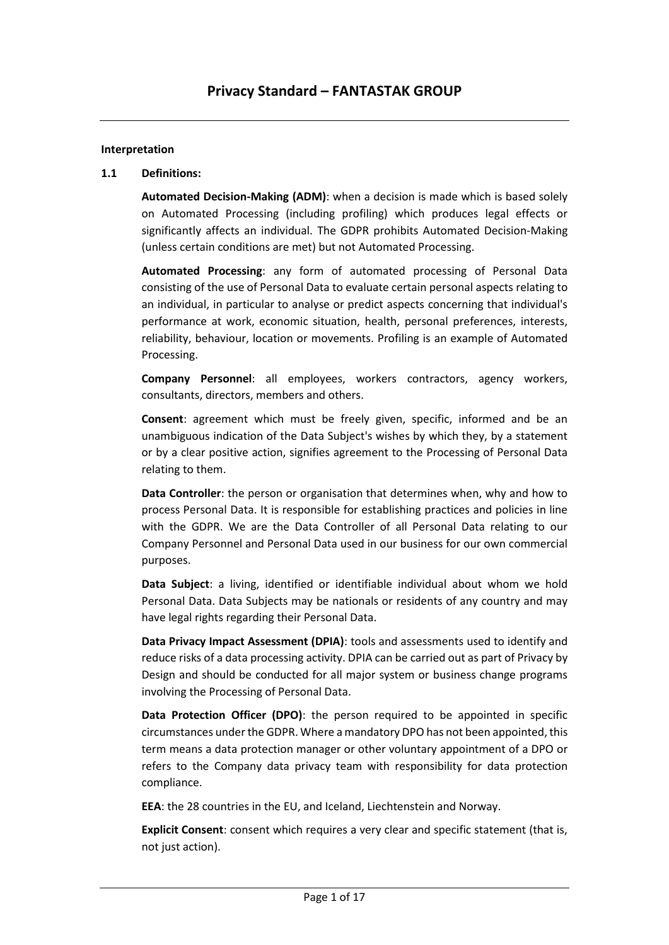#### **Interpretation**

#### **1.1 Definitions:**

**Automated Decision-Making (ADM)**: when a decision is made which is based solely on Automated Processing (including profiling) which produces legal effects or significantly affects an individual. The GDPR prohibits Automated Decision-Making (unless certain conditions are met) but not Automated Processing.

**Automated Processing**: any form of automated processing of Personal Data consisting of the use of Personal Data to evaluate certain personal aspects relating to an individual, in particular to analyse or predict aspects concerning that individual's performance at work, economic situation, health, personal preferences, interests, reliability, behaviour, location or movements. Profiling is an example of Automated Processing.

**Company Personnel**: all employees, workers contractors, agency workers, consultants, directors, members and others.

**Consent**: agreement which must be freely given, specific, informed and be an unambiguous indication of the Data Subject's wishes by which they, by a statement or by a clear positive action, signifies agreement to the Processing of Personal Data relating to them.

**Data Controller**: the person or organisation that determines when, why and how to process Personal Data. It is responsible for establishing practices and policies in line with the GDPR. We are the Data Controller of all Personal Data relating to our Company Personnel and Personal Data used in our business for our own commercial purposes.

**Data Subject**: a living, identified or identifiable individual about whom we hold Personal Data. Data Subjects may be nationals or residents of any country and may have legal rights regarding their Personal Data.

**Data Privacy Impact Assessment (DPIA)**: tools and assessments used to identify and reduce risks of a data processing activity. DPIA can be carried out as part of Privacy by Design and should be conducted for all major system or business change programs involving the Processing of Personal Data.

**Data Protection Officer (DPO)**: the person required to be appointed in specific circumstances under the GDPR. Where a mandatory DPO has not been appointed, this term means a data protection manager or other voluntary appointment of a DPO or refers to the Company data privacy team with responsibility for data protection compliance.

**EEA**: the 28 countries in the EU, and Iceland, Liechtenstein and Norway.

**Explicit Consent**: consent which requires a very clear and specific statement (that is, not just action).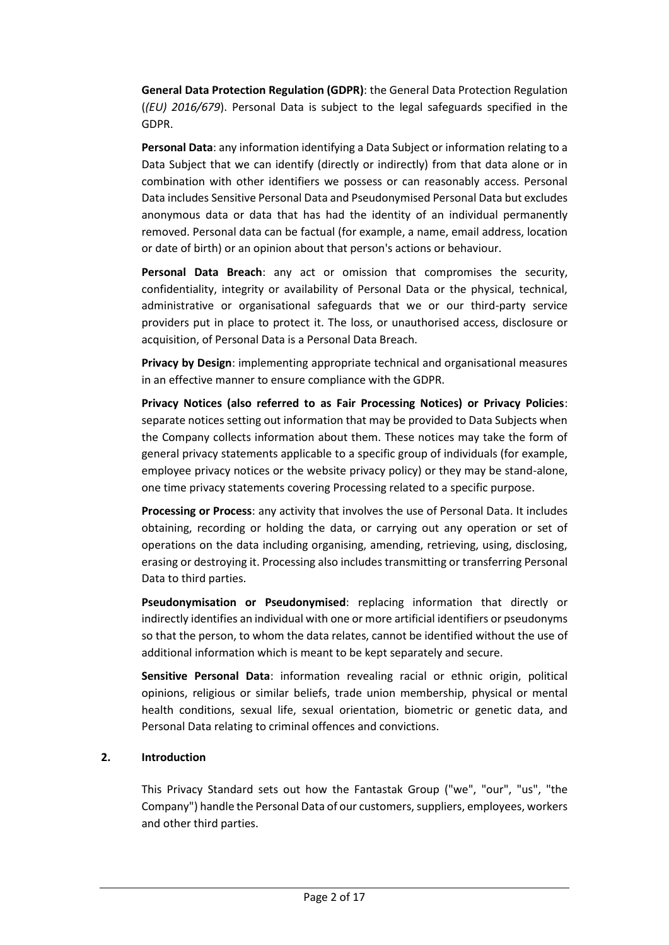**General Data Protection Regulation (GDPR)**: the General Data Protection Regulation (*(EU) 2016/679*). Personal Data is subject to the legal safeguards specified in the GDPR.

**Personal Data**: any information identifying a Data Subject or information relating to a Data Subject that we can identify (directly or indirectly) from that data alone or in combination with other identifiers we possess or can reasonably access. Personal Data includes Sensitive Personal Data and Pseudonymised Personal Data but excludes anonymous data or data that has had the identity of an individual permanently removed. Personal data can be factual (for example, a name, email address, location or date of birth) or an opinion about that person's actions or behaviour.

**Personal Data Breach**: any act or omission that compromises the security, confidentiality, integrity or availability of Personal Data or the physical, technical, administrative or organisational safeguards that we or our third-party service providers put in place to protect it. The loss, or unauthorised access, disclosure or acquisition, of Personal Data is a Personal Data Breach.

**Privacy by Design**: implementing appropriate technical and organisational measures in an effective manner to ensure compliance with the GDPR.

**Privacy Notices (also referred to as Fair Processing Notices) or Privacy Policies**: separate notices setting out information that may be provided to Data Subjects when the Company collects information about them. These notices may take the form of general privacy statements applicable to a specific group of individuals (for example, employee privacy notices or the website privacy policy) or they may be stand-alone, one time privacy statements covering Processing related to a specific purpose.

**Processing or Process**: any activity that involves the use of Personal Data. It includes obtaining, recording or holding the data, or carrying out any operation or set of operations on the data including organising, amending, retrieving, using, disclosing, erasing or destroying it. Processing also includes transmitting or transferring Personal Data to third parties.

**Pseudonymisation or Pseudonymised**: replacing information that directly or indirectly identifies an individual with one or more artificial identifiers or pseudonyms so that the person, to whom the data relates, cannot be identified without the use of additional information which is meant to be kept separately and secure.

**Sensitive Personal Data**: information revealing racial or ethnic origin, political opinions, religious or similar beliefs, trade union membership, physical or mental health conditions, sexual life, sexual orientation, biometric or genetic data, and Personal Data relating to criminal offences and convictions.

#### **2. Introduction**

This Privacy Standard sets out how the Fantastak Group ("we", "our", "us", "the Company") handle the Personal Data of our customers, suppliers, employees, workers and other third parties.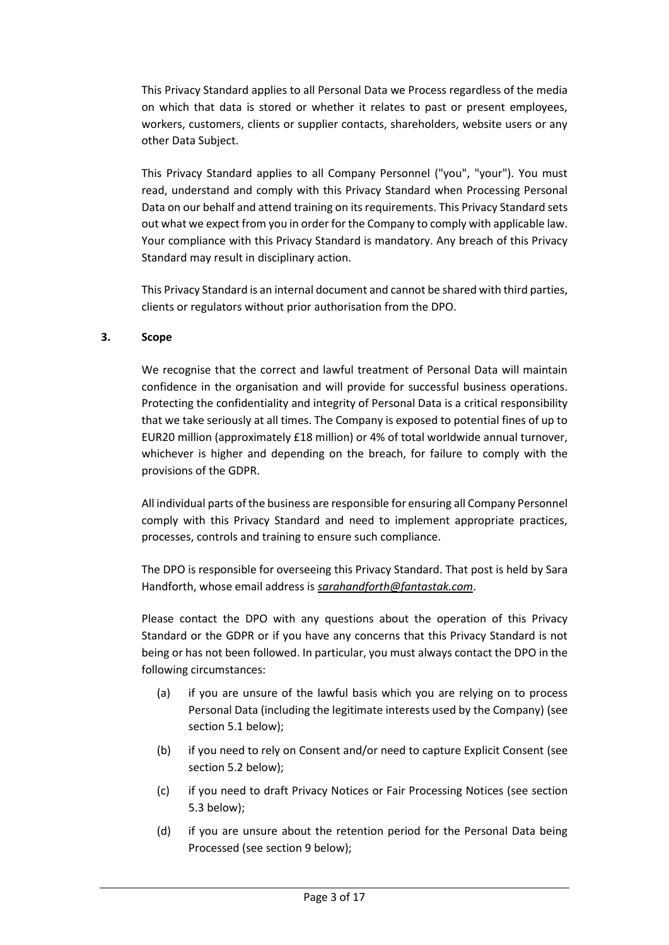This Privacy Standard applies to all Personal Data we Process regardless of the media on which that data is stored or whether it relates to past or present employees, workers, customers, clients or supplier contacts, shareholders, website users or any other Data Subject.

This Privacy Standard applies to all Company Personnel ("you", "your"). You must read, understand and comply with this Privacy Standard when Processing Personal Data on our behalf and attend training on its requirements. This Privacy Standard sets out what we expect from you in order for the Company to comply with applicable law. Your compliance with this Privacy Standard is mandatory. Any breach of this Privacy Standard may result in disciplinary action.

This Privacy Standard is an internal document and cannot be shared with third parties, clients or regulators without prior authorisation from the DPO.

# **3. Scope**

We recognise that the correct and lawful treatment of Personal Data will maintain confidence in the organisation and will provide for successful business operations. Protecting the confidentiality and integrity of Personal Data is a critical responsibility that we take seriously at all times. The Company is exposed to potential fines of up to EUR20 million (approximately £18 million) or 4% of total worldwide annual turnover, whichever is higher and depending on the breach, for failure to comply with the provisions of the GDPR.

All individual parts of the business are responsible for ensuring all Company Personnel comply with this Privacy Standard and need to implement appropriate practices, processes, controls and training to ensure such compliance.

The DPO is responsible for overseeing this Privacy Standard. That post is held by Sara Handforth, whose email address is *[sarahandforth@fantastak.com](mailto:sarahandforth@fantastak.com)*.

Please contact the DPO with any questions about the operation of this Privacy Standard or the GDPR or if you have any concerns that this Privacy Standard is not being or has not been followed. In particular, you must always contact the DPO in the following circumstances:

- (a) if you are unsure of the lawful basis which you are relying on to process Personal Data (including the legitimate interests used by the Company) (see sectio[n 5.1](#page-4-0) below);
- (b) if you need to rely on Consent and/or need to capture Explicit Consent (see sectio[n 5.2](#page-5-0) below);
- (c) if you need to draft Privacy Notices or Fair Processing Notices (see section [5.3](#page-6-0) below);
- (d) if you are unsure about the retention period for the Personal Data being Processed (see section [9](#page-7-0) below);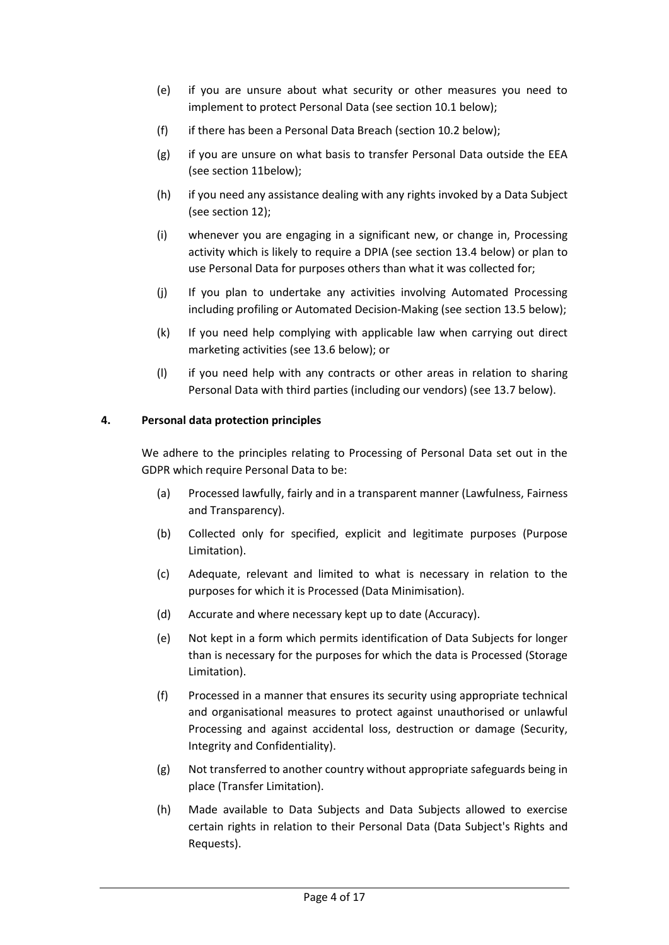- (e) if you are unsure about what security or other measures you need to implement to protect Personal Data (see section [10.1](#page-7-1) below);
- (f) if there has been a Personal Data Breach (sectio[n 10.2](#page-11-0) below);
- (g) if you are unsure on what basis to transfer Personal Data outside the EEA (see section [11b](#page-11-1)elow);
- (h) if you need any assistance dealing with any rights invoked by a Data Subject (see sectio[n 12\)](#page-12-0);
- (i) whenever you are engaging in a significant new, or change in, Processing activity which is likely to require a DPIA (see section [13.4](#page-14-0) below) or plan to use Personal Data for purposes others than what it was collected for;
- (j) If you plan to undertake any activities involving Automated Processing including profiling or Automated Decision-Making (see sectio[n 13.5](#page-15-0) below);
- (k) If you need help complying with applicable law when carrying out direct marketing activities (see [13.6](#page-15-1) below); or
- (l) if you need help with any contracts or other areas in relation to sharing Personal Data with third parties (including our vendors) (see [13.7](#page-16-0) below).

# **4. Personal data protection principles**

We adhere to the principles relating to Processing of Personal Data set out in the GDPR which require Personal Data to be:

- (a) Processed lawfully, fairly and in a transparent manner (Lawfulness, Fairness and Transparency).
- (b) Collected only for specified, explicit and legitimate purposes (Purpose Limitation).
- (c) Adequate, relevant and limited to what is necessary in relation to the purposes for which it is Processed (Data Minimisation).
- (d) Accurate and where necessary kept up to date (Accuracy).
- (e) Not kept in a form which permits identification of Data Subjects for longer than is necessary for the purposes for which the data is Processed (Storage Limitation).
- (f) Processed in a manner that ensures its security using appropriate technical and organisational measures to protect against unauthorised or unlawful Processing and against accidental loss, destruction or damage (Security, Integrity and Confidentiality).
- (g) Not transferred to another country without appropriate safeguards being in place (Transfer Limitation).
- (h) Made available to Data Subjects and Data Subjects allowed to exercise certain rights in relation to their Personal Data (Data Subject's Rights and Requests).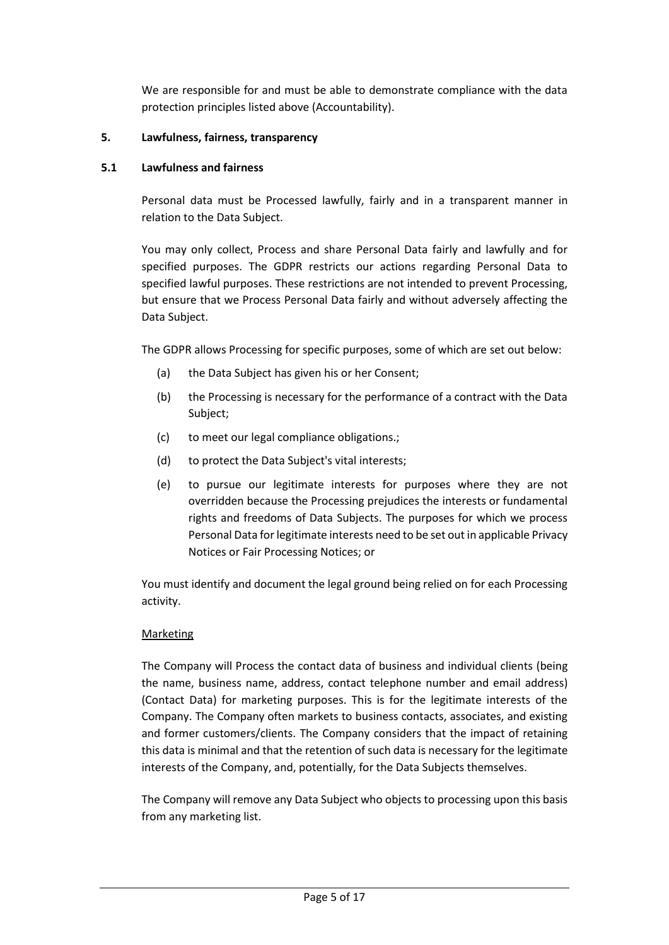We are responsible for and must be able to demonstrate compliance with the data protection principles listed above (Accountability).

## **5. Lawfulness, fairness, transparency**

## <span id="page-4-0"></span>**5.1 Lawfulness and fairness**

Personal data must be Processed lawfully, fairly and in a transparent manner in relation to the Data Subject.

You may only collect, Process and share Personal Data fairly and lawfully and for specified purposes. The GDPR restricts our actions regarding Personal Data to specified lawful purposes. These restrictions are not intended to prevent Processing, but ensure that we Process Personal Data fairly and without adversely affecting the Data Subject.

The GDPR allows Processing for specific purposes, some of which are set out below:

- (a) the Data Subject has given his or her Consent;
- (b) the Processing is necessary for the performance of a contract with the Data Subject;
- (c) to meet our legal compliance obligations.;
- (d) to protect the Data Subject's vital interests;
- (e) to pursue our legitimate interests for purposes where they are not overridden because the Processing prejudices the interests or fundamental rights and freedoms of Data Subjects. The purposes for which we process Personal Data for legitimate interests need to be set out in applicable Privacy Notices or Fair Processing Notices; or

You must identify and document the legal ground being relied on for each Processing activity.

## Marketing

The Company will Process the contact data of business and individual clients (being the name, business name, address, contact telephone number and email address) (Contact Data) for marketing purposes. This is for the legitimate interests of the Company. The Company often markets to business contacts, associates, and existing and former customers/clients. The Company considers that the impact of retaining this data is minimal and that the retention of such data is necessary for the legitimate interests of the Company, and, potentially, for the Data Subjects themselves.

The Company will remove any Data Subject who objects to processing upon this basis from any marketing list.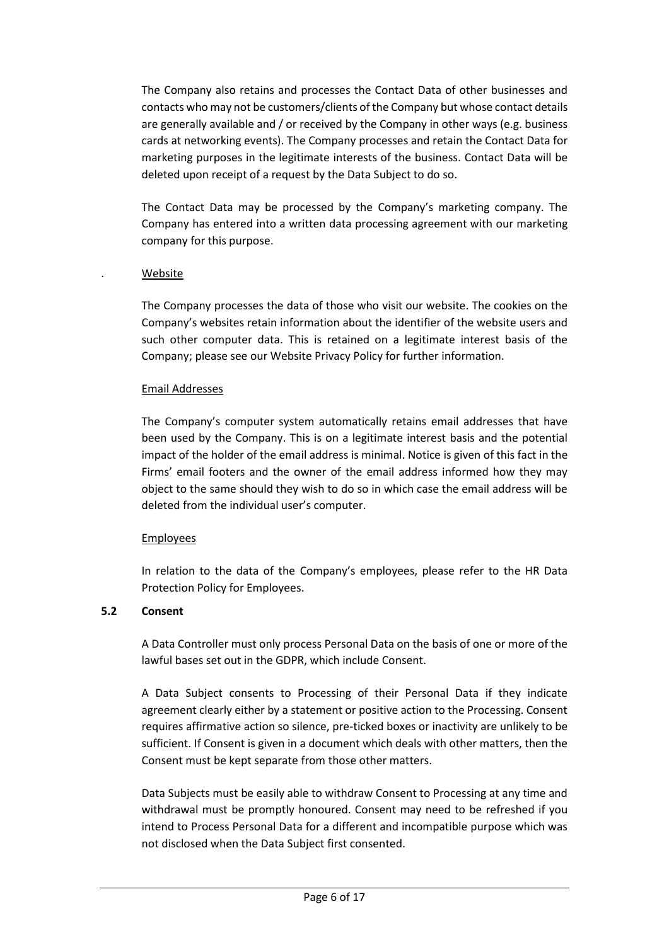The Company also retains and processes the Contact Data of other businesses and contacts who may not be customers/clients of the Company but whose contact details are generally available and / or received by the Company in other ways (e.g. business cards at networking events). The Company processes and retain the Contact Data for marketing purposes in the legitimate interests of the business. Contact Data will be deleted upon receipt of a request by the Data Subject to do so.

The Contact Data may be processed by the Company's marketing company. The Company has entered into a written data processing agreement with our marketing company for this purpose.

## . Website

The Company processes the data of those who visit our website. The cookies on the Company's websites retain information about the identifier of the website users and such other computer data. This is retained on a legitimate interest basis of the Company; please see our Website Privacy Policy for further information.

#### Email Addresses

The Company's computer system automatically retains email addresses that have been used by the Company. This is on a legitimate interest basis and the potential impact of the holder of the email address is minimal. Notice is given of this fact in the Firms' email footers and the owner of the email address informed how they may object to the same should they wish to do so in which case the email address will be deleted from the individual user's computer.

## Employees

In relation to the data of the Company's employees, please refer to the HR Data Protection Policy for Employees.

## <span id="page-5-0"></span>**5.2 Consent**

A Data Controller must only process Personal Data on the basis of one or more of the lawful bases set out in the GDPR, which include Consent.

A Data Subject consents to Processing of their Personal Data if they indicate agreement clearly either by a statement or positive action to the Processing. Consent requires affirmative action so silence, pre-ticked boxes or inactivity are unlikely to be sufficient. If Consent is given in a document which deals with other matters, then the Consent must be kept separate from those other matters.

Data Subjects must be easily able to withdraw Consent to Processing at any time and withdrawal must be promptly honoured. Consent may need to be refreshed if you intend to Process Personal Data for a different and incompatible purpose which was not disclosed when the Data Subject first consented.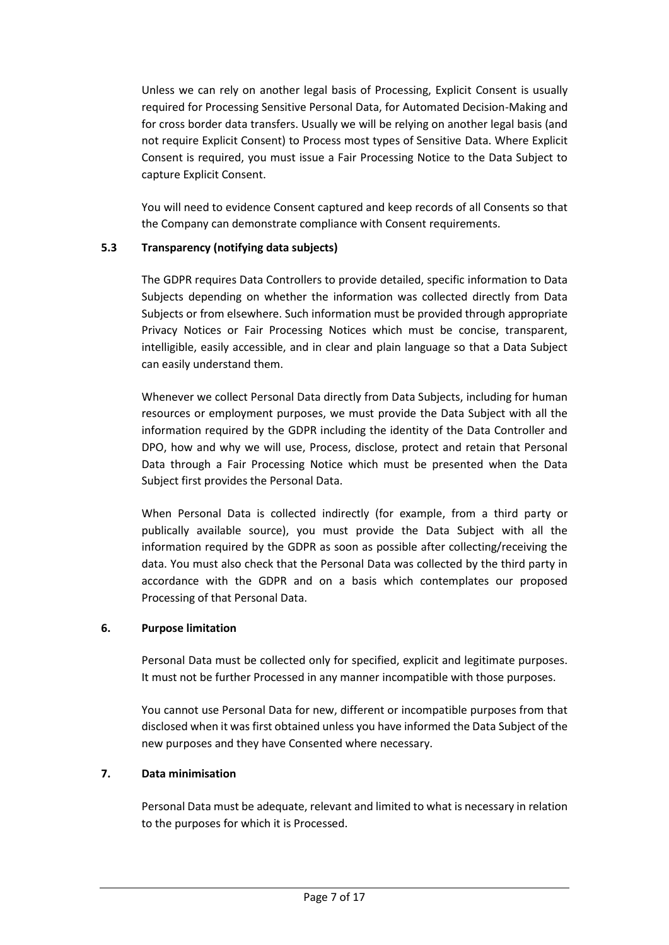Unless we can rely on another legal basis of Processing, Explicit Consent is usually required for Processing Sensitive Personal Data, for Automated Decision-Making and for cross border data transfers. Usually we will be relying on another legal basis (and not require Explicit Consent) to Process most types of Sensitive Data. Where Explicit Consent is required, you must issue a Fair Processing Notice to the Data Subject to capture Explicit Consent.

You will need to evidence Consent captured and keep records of all Consents so that the Company can demonstrate compliance with Consent requirements.

## <span id="page-6-0"></span>**5.3 Transparency (notifying data subjects)**

The GDPR requires Data Controllers to provide detailed, specific information to Data Subjects depending on whether the information was collected directly from Data Subjects or from elsewhere. Such information must be provided through appropriate Privacy Notices or Fair Processing Notices which must be concise, transparent, intelligible, easily accessible, and in clear and plain language so that a Data Subject can easily understand them.

Whenever we collect Personal Data directly from Data Subjects, including for human resources or employment purposes, we must provide the Data Subject with all the information required by the GDPR including the identity of the Data Controller and DPO, how and why we will use, Process, disclose, protect and retain that Personal Data through a Fair Processing Notice which must be presented when the Data Subject first provides the Personal Data.

When Personal Data is collected indirectly (for example, from a third party or publically available source), you must provide the Data Subject with all the information required by the GDPR as soon as possible after collecting/receiving the data. You must also check that the Personal Data was collected by the third party in accordance with the GDPR and on a basis which contemplates our proposed Processing of that Personal Data.

## **6. Purpose limitation**

Personal Data must be collected only for specified, explicit and legitimate purposes. It must not be further Processed in any manner incompatible with those purposes.

You cannot use Personal Data for new, different or incompatible purposes from that disclosed when it was first obtained unless you have informed the Data Subject of the new purposes and they have Consented where necessary.

# **7. Data minimisation**

Personal Data must be adequate, relevant and limited to what is necessary in relation to the purposes for which it is Processed.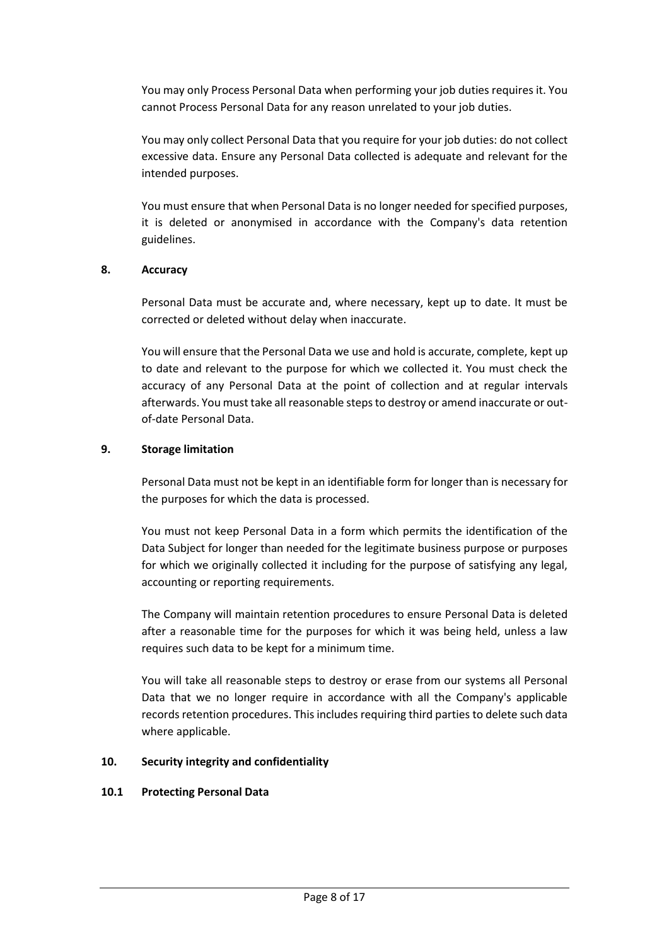You may only Process Personal Data when performing your job duties requires it. You cannot Process Personal Data for any reason unrelated to your job duties.

You may only collect Personal Data that you require for your job duties: do not collect excessive data. Ensure any Personal Data collected is adequate and relevant for the intended purposes.

You must ensure that when Personal Data is no longer needed for specified purposes, it is deleted or anonymised in accordance with the Company's data retention guidelines.

#### **8. Accuracy**

Personal Data must be accurate and, where necessary, kept up to date. It must be corrected or deleted without delay when inaccurate.

You will ensure that the Personal Data we use and hold is accurate, complete, kept up to date and relevant to the purpose for which we collected it. You must check the accuracy of any Personal Data at the point of collection and at regular intervals afterwards. You must take all reasonable steps to destroy or amend inaccurate or outof-date Personal Data.

### <span id="page-7-0"></span>**9. Storage limitation**

Personal Data must not be kept in an identifiable form for longer than is necessary for the purposes for which the data is processed.

You must not keep Personal Data in a form which permits the identification of the Data Subject for longer than needed for the legitimate business purpose or purposes for which we originally collected it including for the purpose of satisfying any legal, accounting or reporting requirements.

The Company will maintain retention procedures to ensure Personal Data is deleted after a reasonable time for the purposes for which it was being held, unless a law requires such data to be kept for a minimum time.

You will take all reasonable steps to destroy or erase from our systems all Personal Data that we no longer require in accordance with all the Company's applicable records retention procedures. This includes requiring third parties to delete such data where applicable.

#### **10. Security integrity and confidentiality**

#### <span id="page-7-1"></span>**10.1 Protecting Personal Data**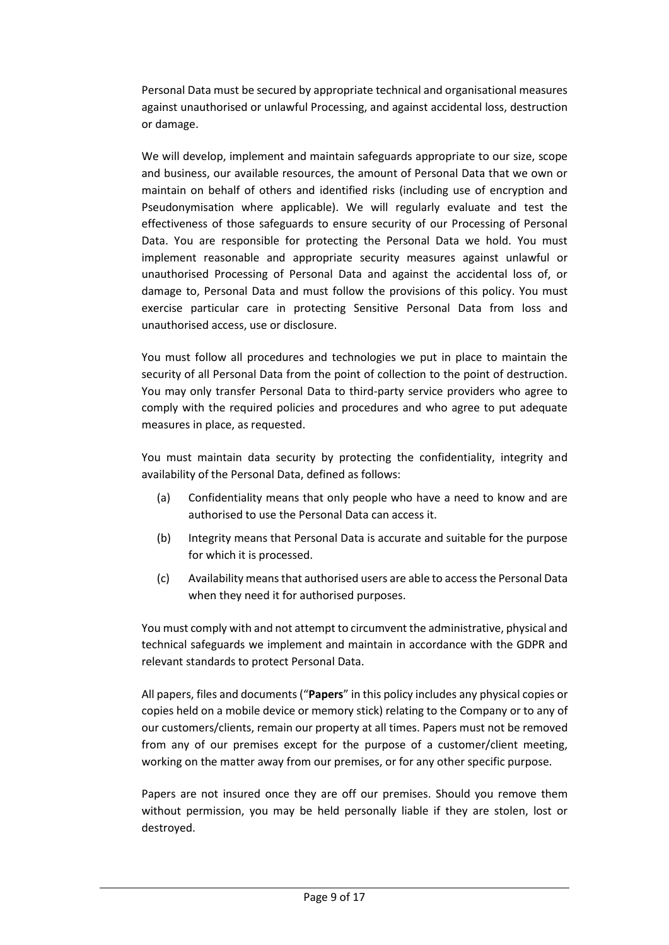Personal Data must be secured by appropriate technical and organisational measures against unauthorised or unlawful Processing, and against accidental loss, destruction or damage.

We will develop, implement and maintain safeguards appropriate to our size, scope and business, our available resources, the amount of Personal Data that we own or maintain on behalf of others and identified risks (including use of encryption and Pseudonymisation where applicable). We will regularly evaluate and test the effectiveness of those safeguards to ensure security of our Processing of Personal Data. You are responsible for protecting the Personal Data we hold. You must implement reasonable and appropriate security measures against unlawful or unauthorised Processing of Personal Data and against the accidental loss of, or damage to, Personal Data and must follow the provisions of this policy. You must exercise particular care in protecting Sensitive Personal Data from loss and unauthorised access, use or disclosure.

You must follow all procedures and technologies we put in place to maintain the security of all Personal Data from the point of collection to the point of destruction. You may only transfer Personal Data to third-party service providers who agree to comply with the required policies and procedures and who agree to put adequate measures in place, as requested.

You must maintain data security by protecting the confidentiality, integrity and availability of the Personal Data, defined as follows:

- (a) Confidentiality means that only people who have a need to know and are authorised to use the Personal Data can access it.
- (b) Integrity means that Personal Data is accurate and suitable for the purpose for which it is processed.
- (c) Availability means that authorised users are able to access the Personal Data when they need it for authorised purposes.

You must comply with and not attempt to circumvent the administrative, physical and technical safeguards we implement and maintain in accordance with the GDPR and relevant standards to protect Personal Data.

All papers, files and documents ("**Papers**" in this policy includes any physical copies or copies held on a mobile device or memory stick) relating to the Company or to any of our customers/clients, remain our property at all times. Papers must not be removed from any of our premises except for the purpose of a customer/client meeting, working on the matter away from our premises, or for any other specific purpose.

Papers are not insured once they are off our premises. Should you remove them without permission, you may be held personally liable if they are stolen, lost or destroyed.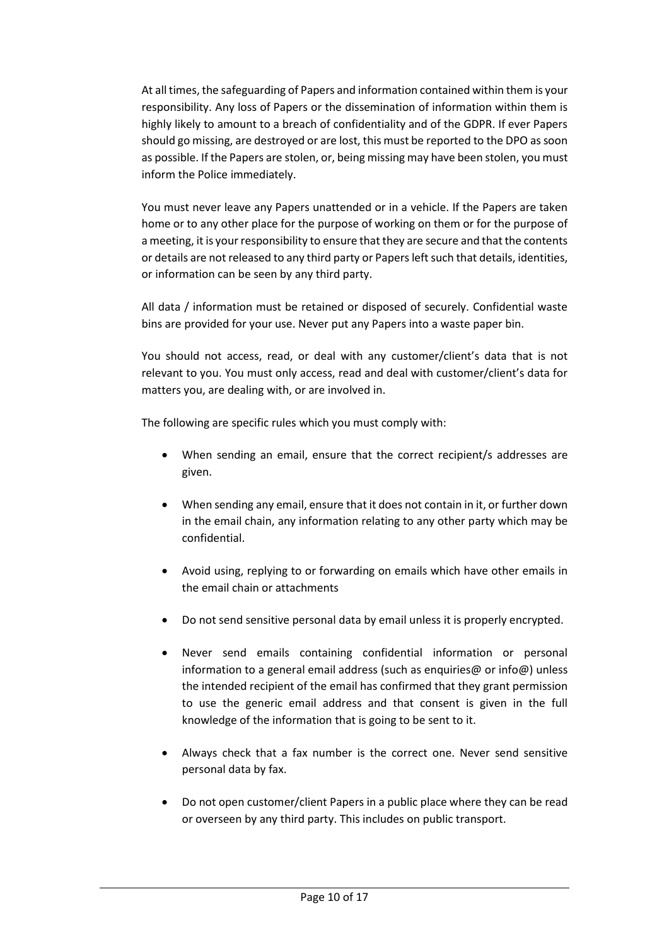At all times, the safeguarding of Papers and information contained within them is your responsibility. Any loss of Papers or the dissemination of information within them is highly likely to amount to a breach of confidentiality and of the GDPR. If ever Papers should go missing, are destroyed or are lost, this must be reported to the DPO as soon as possible. If the Papers are stolen, or, being missing may have been stolen, you must inform the Police immediately.

You must never leave any Papers unattended or in a vehicle. If the Papers are taken home or to any other place for the purpose of working on them or for the purpose of a meeting, it is your responsibility to ensure that they are secure and that the contents or details are not released to any third party or Papers left such that details, identities, or information can be seen by any third party.

All data / information must be retained or disposed of securely. Confidential waste bins are provided for your use. Never put any Papers into a waste paper bin.

You should not access, read, or deal with any customer/client's data that is not relevant to you. You must only access, read and deal with customer/client's data for matters you, are dealing with, or are involved in.

The following are specific rules which you must comply with:

- When sending an email, ensure that the correct recipient/s addresses are given.
- When sending any email, ensure that it does not contain in it, or further down in the email chain, any information relating to any other party which may be confidential.
- Avoid using, replying to or forwarding on emails which have other emails in the email chain or attachments
- Do not send sensitive personal data by email unless it is properly encrypted.
- Never send emails containing confidential information or personal information to a general email address (such as enquiries@ or info@) unless the intended recipient of the email has confirmed that they grant permission to use the generic email address and that consent is given in the full knowledge of the information that is going to be sent to it.
- Always check that a fax number is the correct one. Never send sensitive personal data by fax.
- Do not open customer/client Papers in a public place where they can be read or overseen by any third party. This includes on public transport.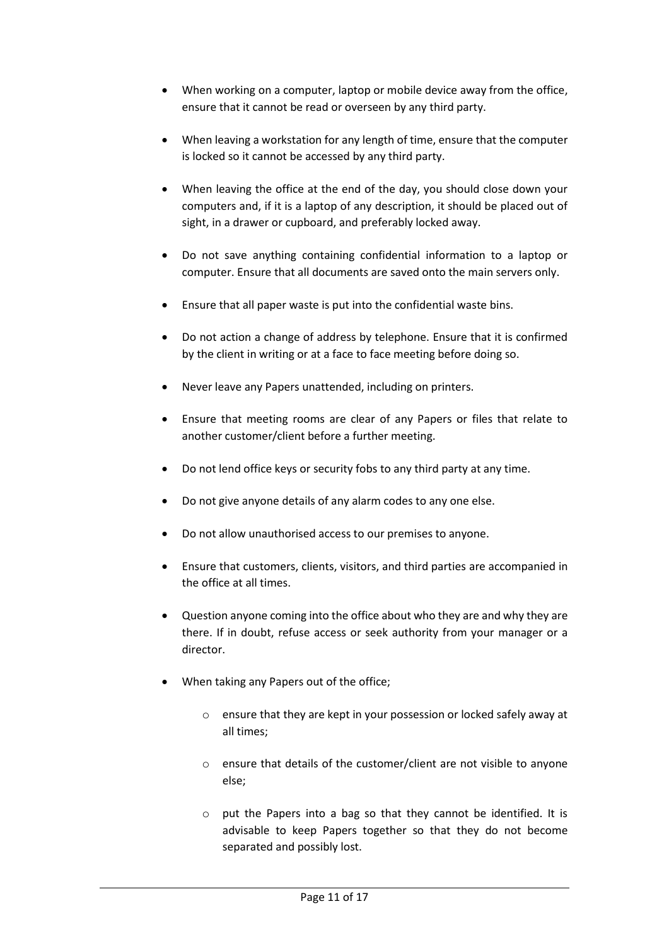- When working on a computer, laptop or mobile device away from the office, ensure that it cannot be read or overseen by any third party.
- When leaving a workstation for any length of time, ensure that the computer is locked so it cannot be accessed by any third party.
- When leaving the office at the end of the day, you should close down your computers and, if it is a laptop of any description, it should be placed out of sight, in a drawer or cupboard, and preferably locked away.
- Do not save anything containing confidential information to a laptop or computer. Ensure that all documents are saved onto the main servers only.
- Ensure that all paper waste is put into the confidential waste bins.
- Do not action a change of address by telephone. Ensure that it is confirmed by the client in writing or at a face to face meeting before doing so.
- Never leave any Papers unattended, including on printers.
- Ensure that meeting rooms are clear of any Papers or files that relate to another customer/client before a further meeting.
- Do not lend office keys or security fobs to any third party at any time.
- Do not give anyone details of any alarm codes to any one else.
- Do not allow unauthorised access to our premises to anyone.
- Ensure that customers, clients, visitors, and third parties are accompanied in the office at all times.
- Question anyone coming into the office about who they are and why they are there. If in doubt, refuse access or seek authority from your manager or a director.
- When taking any Papers out of the office;
	- o ensure that they are kept in your possession or locked safely away at all times;
	- o ensure that details of the customer/client are not visible to anyone else;
	- o put the Papers into a bag so that they cannot be identified. It is advisable to keep Papers together so that they do not become separated and possibly lost.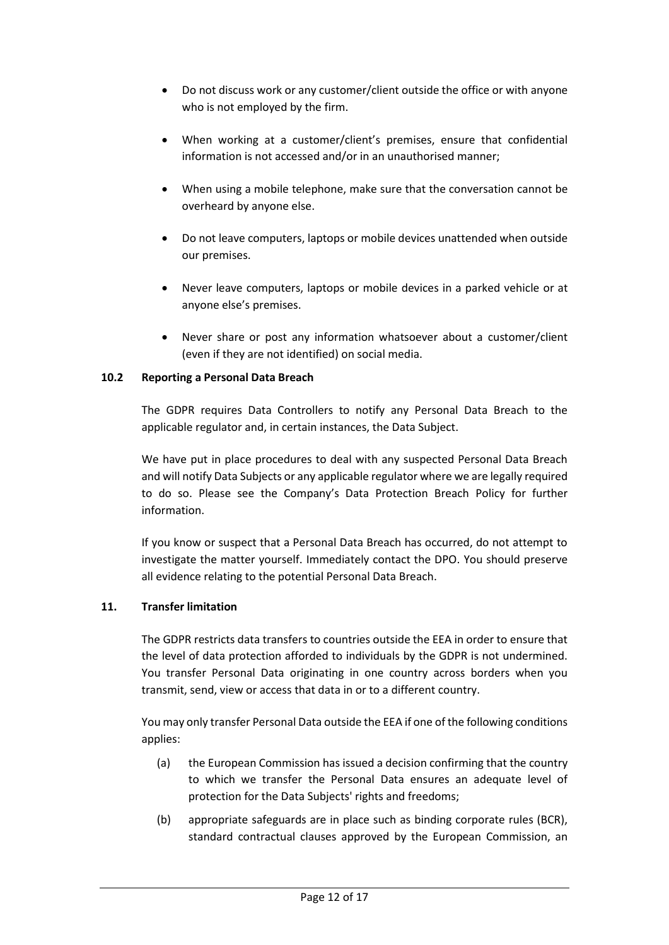- Do not discuss work or any customer/client outside the office or with anyone who is not employed by the firm.
- When working at a customer/client's premises, ensure that confidential information is not accessed and/or in an unauthorised manner;
- When using a mobile telephone, make sure that the conversation cannot be overheard by anyone else.
- Do not leave computers, laptops or mobile devices unattended when outside our premises.
- Never leave computers, laptops or mobile devices in a parked vehicle or at anyone else's premises.
- Never share or post any information whatsoever about a customer/client (even if they are not identified) on social media.

# <span id="page-11-0"></span>**10.2 Reporting a Personal Data Breach**

The GDPR requires Data Controllers to notify any Personal Data Breach to the applicable regulator and, in certain instances, the Data Subject.

We have put in place procedures to deal with any suspected Personal Data Breach and will notify Data Subjects or any applicable regulator where we are legally required to do so. Please see the Company's Data Protection Breach Policy for further information.

If you know or suspect that a Personal Data Breach has occurred, do not attempt to investigate the matter yourself. Immediately contact the DPO. You should preserve all evidence relating to the potential Personal Data Breach.

## <span id="page-11-1"></span>**11. Transfer limitation**

The GDPR restricts data transfers to countries outside the EEA in order to ensure that the level of data protection afforded to individuals by the GDPR is not undermined. You transfer Personal Data originating in one country across borders when you transmit, send, view or access that data in or to a different country.

You may only transfer Personal Data outside the EEA if one of the following conditions applies:

- (a) the European Commission has issued a decision confirming that the country to which we transfer the Personal Data ensures an adequate level of protection for the Data Subjects' rights and freedoms;
- (b) appropriate safeguards are in place such as binding corporate rules (BCR), standard contractual clauses approved by the European Commission, an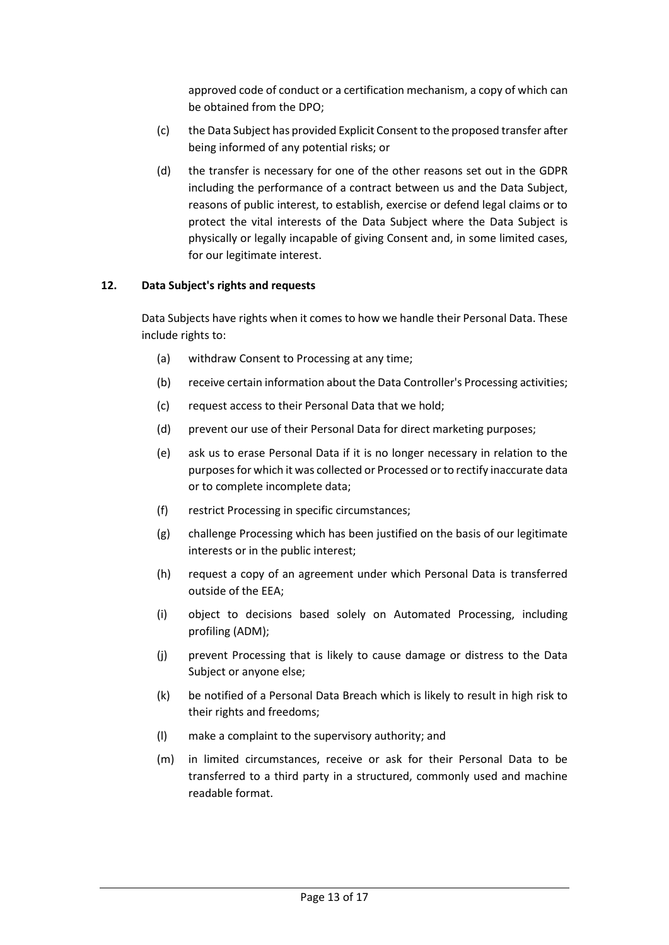approved code of conduct or a certification mechanism, a copy of which can be obtained from the DPO;

- (c) the Data Subject has provided Explicit Consent to the proposed transfer after being informed of any potential risks; or
- (d) the transfer is necessary for one of the other reasons set out in the GDPR including the performance of a contract between us and the Data Subject, reasons of public interest, to establish, exercise or defend legal claims or to protect the vital interests of the Data Subject where the Data Subject is physically or legally incapable of giving Consent and, in some limited cases, for our legitimate interest.

#### <span id="page-12-0"></span>**12. Data Subject's rights and requests**

Data Subjects have rights when it comes to how we handle their Personal Data. These include rights to:

- (a) withdraw Consent to Processing at any time;
- (b) receive certain information about the Data Controller's Processing activities;
- (c) request access to their Personal Data that we hold;
- (d) prevent our use of their Personal Data for direct marketing purposes;
- (e) ask us to erase Personal Data if it is no longer necessary in relation to the purposes for which it was collected or Processed or to rectify inaccurate data or to complete incomplete data;
- (f) restrict Processing in specific circumstances;
- (g) challenge Processing which has been justified on the basis of our legitimate interests or in the public interest;
- (h) request a copy of an agreement under which Personal Data is transferred outside of the EEA;
- (i) object to decisions based solely on Automated Processing, including profiling (ADM);
- (j) prevent Processing that is likely to cause damage or distress to the Data Subject or anyone else;
- (k) be notified of a Personal Data Breach which is likely to result in high risk to their rights and freedoms;
- (l) make a complaint to the supervisory authority; and
- (m) in limited circumstances, receive or ask for their Personal Data to be transferred to a third party in a structured, commonly used and machine readable format.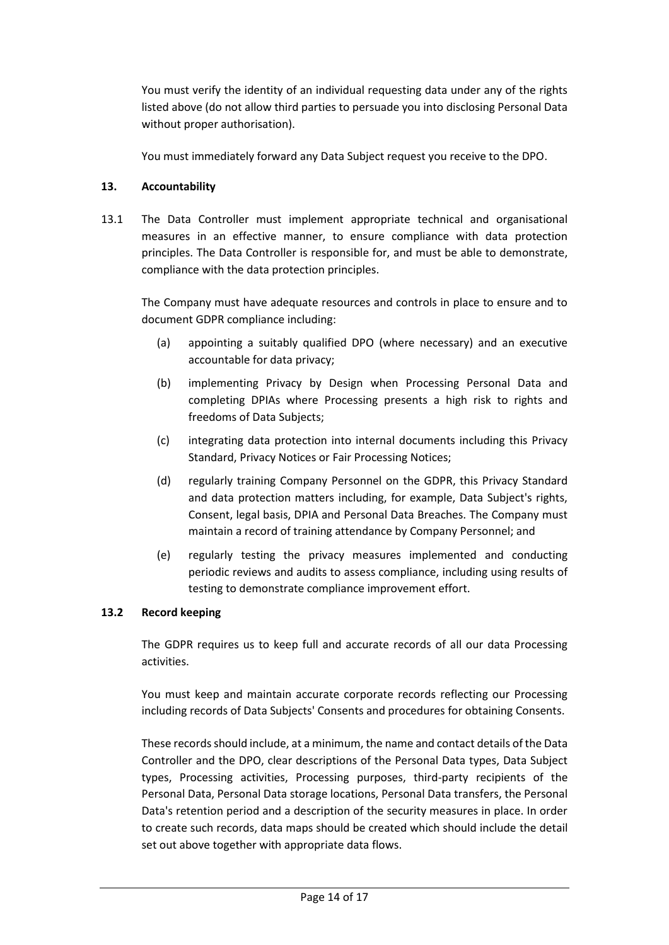You must verify the identity of an individual requesting data under any of the rights listed above (do not allow third parties to persuade you into disclosing Personal Data without proper authorisation).

You must immediately forward any Data Subject request you receive to the DPO.

# **13. Accountability**

13.1 The Data Controller must implement appropriate technical and organisational measures in an effective manner, to ensure compliance with data protection principles. The Data Controller is responsible for, and must be able to demonstrate, compliance with the data protection principles.

The Company must have adequate resources and controls in place to ensure and to document GDPR compliance including:

- (a) appointing a suitably qualified DPO (where necessary) and an executive accountable for data privacy;
- (b) implementing Privacy by Design when Processing Personal Data and completing DPIAs where Processing presents a high risk to rights and freedoms of Data Subjects;
- (c) integrating data protection into internal documents including this Privacy Standard, Privacy Notices or Fair Processing Notices;
- (d) regularly training Company Personnel on the GDPR, this Privacy Standard and data protection matters including, for example, Data Subject's rights, Consent, legal basis, DPIA and Personal Data Breaches. The Company must maintain a record of training attendance by Company Personnel; and
- (e) regularly testing the privacy measures implemented and conducting periodic reviews and audits to assess compliance, including using results of testing to demonstrate compliance improvement effort.

## **13.2 Record keeping**

The GDPR requires us to keep full and accurate records of all our data Processing activities.

You must keep and maintain accurate corporate records reflecting our Processing including records of Data Subjects' Consents and procedures for obtaining Consents.

These records should include, at a minimum, the name and contact details of the Data Controller and the DPO, clear descriptions of the Personal Data types, Data Subject types, Processing activities, Processing purposes, third-party recipients of the Personal Data, Personal Data storage locations, Personal Data transfers, the Personal Data's retention period and a description of the security measures in place. In order to create such records, data maps should be created which should include the detail set out above together with appropriate data flows.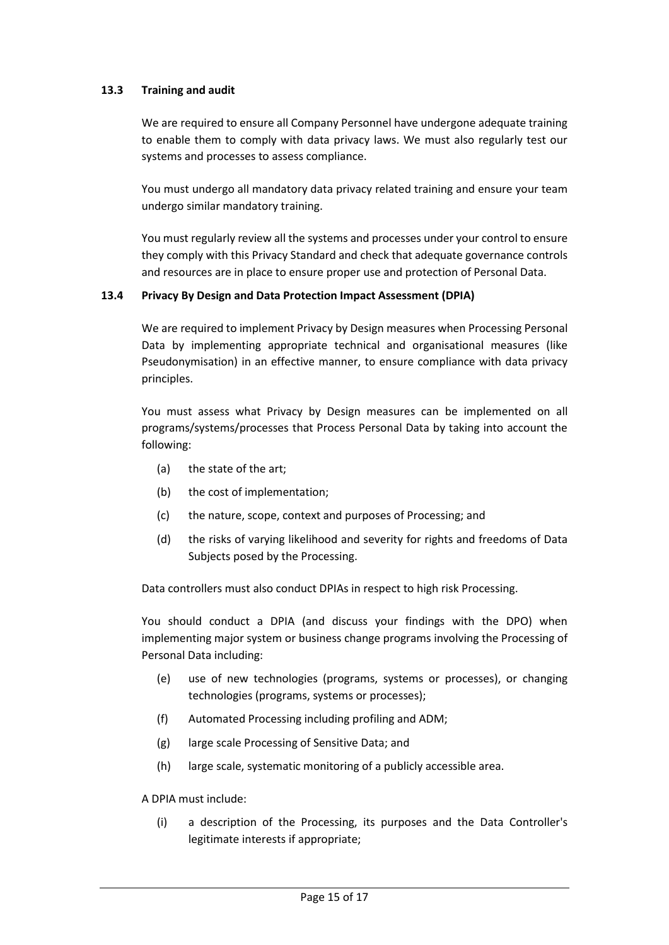## **13.3 Training and audit**

We are required to ensure all Company Personnel have undergone adequate training to enable them to comply with data privacy laws. We must also regularly test our systems and processes to assess compliance.

You must undergo all mandatory data privacy related training and ensure your team undergo similar mandatory training.

You must regularly review all the systems and processes under your control to ensure they comply with this Privacy Standard and check that adequate governance controls and resources are in place to ensure proper use and protection of Personal Data.

## <span id="page-14-0"></span>**13.4 Privacy By Design and Data Protection Impact Assessment (DPIA)**

We are required to implement Privacy by Design measures when Processing Personal Data by implementing appropriate technical and organisational measures (like Pseudonymisation) in an effective manner, to ensure compliance with data privacy principles.

You must assess what Privacy by Design measures can be implemented on all programs/systems/processes that Process Personal Data by taking into account the following:

- (a) the state of the art;
- (b) the cost of implementation;
- (c) the nature, scope, context and purposes of Processing; and
- (d) the risks of varying likelihood and severity for rights and freedoms of Data Subjects posed by the Processing.

Data controllers must also conduct DPIAs in respect to high risk Processing.

You should conduct a DPIA (and discuss your findings with the DPO) when implementing major system or business change programs involving the Processing of Personal Data including:

- (e) use of new technologies (programs, systems or processes), or changing technologies (programs, systems or processes);
- (f) Automated Processing including profiling and ADM;
- (g) large scale Processing of Sensitive Data; and
- (h) large scale, systematic monitoring of a publicly accessible area.

A DPIA must include:

(i) a description of the Processing, its purposes and the Data Controller's legitimate interests if appropriate;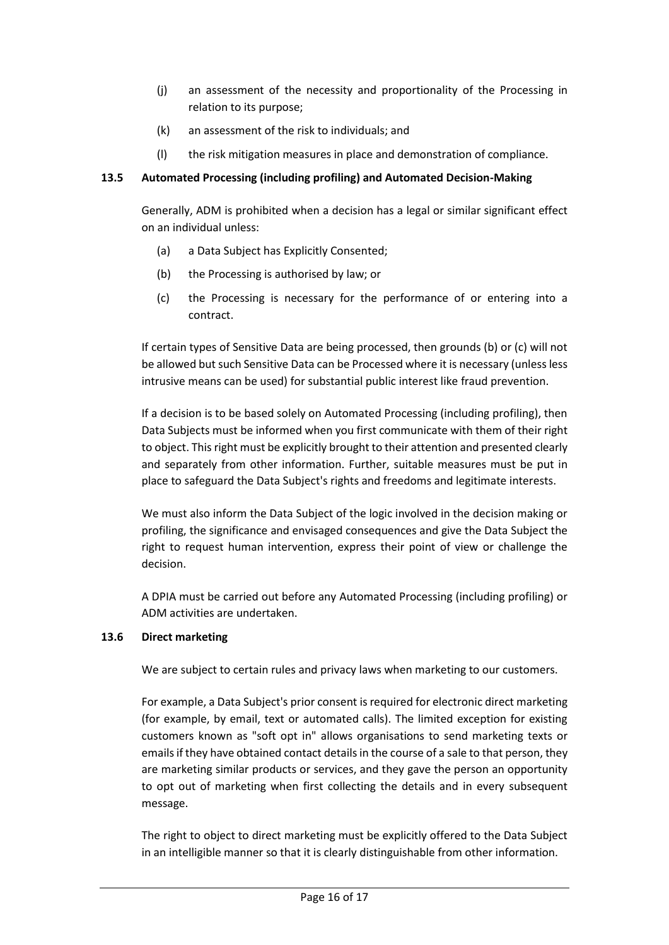- (j) an assessment of the necessity and proportionality of the Processing in relation to its purpose;
- (k) an assessment of the risk to individuals; and
- (l) the risk mitigation measures in place and demonstration of compliance.

## <span id="page-15-0"></span>**13.5 Automated Processing (including profiling) and Automated Decision-Making**

Generally, ADM is prohibited when a decision has a legal or similar significant effect on an individual unless:

- (a) a Data Subject has Explicitly Consented;
- (b) the Processing is authorised by law; or
- (c) the Processing is necessary for the performance of or entering into a contract.

If certain types of Sensitive Data are being processed, then grounds (b) or (c) will not be allowed but such Sensitive Data can be Processed where it is necessary (unless less intrusive means can be used) for substantial public interest like fraud prevention.

If a decision is to be based solely on Automated Processing (including profiling), then Data Subjects must be informed when you first communicate with them of their right to object. This right must be explicitly brought to their attention and presented clearly and separately from other information. Further, suitable measures must be put in place to safeguard the Data Subject's rights and freedoms and legitimate interests.

We must also inform the Data Subject of the logic involved in the decision making or profiling, the significance and envisaged consequences and give the Data Subject the right to request human intervention, express their point of view or challenge the decision.

A DPIA must be carried out before any Automated Processing (including profiling) or ADM activities are undertaken.

## <span id="page-15-1"></span>**13.6 Direct marketing**

We are subject to certain rules and privacy laws when marketing to our customers.

For example, a Data Subject's prior consent is required for electronic direct marketing (for example, by email, text or automated calls). The limited exception for existing customers known as "soft opt in" allows organisations to send marketing texts or emails if they have obtained contact details in the course of a sale to that person, they are marketing similar products or services, and they gave the person an opportunity to opt out of marketing when first collecting the details and in every subsequent message.

The right to object to direct marketing must be explicitly offered to the Data Subject in an intelligible manner so that it is clearly distinguishable from other information.